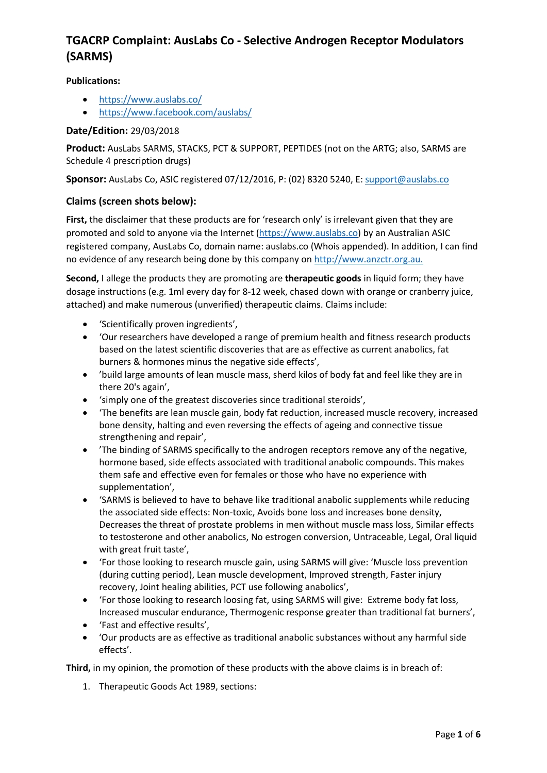**Publications:**

- <https://www.auslabs.co/>
- <https://www.facebook.com/auslabs/>

### **Date/Edition:** 29/03/2018

**Product:** AusLabs SARMS, STACKS, PCT & SUPPORT, PEPTIDES (not on the ARTG; also, SARMS are Schedule 4 prescription drugs)

**Sponsor:** AusLabs Co, ASIC registered 07/12/2016, P: (02) 8320 5240, E[: support@auslabs.co](mailto:support@auslabs.co)

#### **Claims (screen shots below):**

**First,** the disclaimer that these products are for 'research only' is irrelevant given that they are promoted and sold to anyone via the Internet [\(https://www.auslabs.co\)](https://www.auslabs.co/) by an Australian ASIC registered company, AusLabs Co, domain name: auslabs.co (Whois appended). In addition, I can find no evidence of any research being done by this company on [http://www.anzctr.org.au.](http://www.anzctr.org.au/)

**Second,** I allege the products they are promoting are **therapeutic goods** in liquid form; they have dosage instructions (e.g. 1ml every day for 8-12 week, chased down with orange or cranberry juice, attached) and make numerous (unverified) therapeutic claims. Claims include:

- 'Scientifically proven ingredients',
- 'Our researchers have developed a range of premium health and fitness research products based on the latest scientific discoveries that are as effective as current anabolics, fat burners & hormones minus the negative side effects',
- 'build large amounts of lean muscle mass, sherd kilos of body fat and feel like they are in there 20's again',
- 'simply one of the greatest discoveries since traditional steroids',
- 'The benefits are lean muscle gain, body fat reduction, increased muscle recovery, increased bone density, halting and even reversing the effects of ageing and connective tissue strengthening and repair',
- 'The binding of SARMS specifically to the androgen receptors remove any of the negative, hormone based, side effects associated with traditional anabolic compounds. This makes them safe and effective even for females or those who have no experience with supplementation',
- 'SARMS is believed to have to behave like traditional anabolic supplements while reducing the associated side effects: Non-toxic, Avoids bone loss and increases bone density, Decreases the threat of prostate problems in men without muscle mass loss, Similar effects to testosterone and other anabolics, No estrogen conversion, Untraceable, Legal, Oral liquid with great fruit taste',
- 'For those looking to research muscle gain, using SARMS will give: 'Muscle loss prevention (during cutting period), Lean muscle development, Improved strength, Faster injury recovery, Joint healing abilities, PCT use following anabolics',
- 'For those looking to research loosing fat, using SARMS will give: Extreme body fat loss, Increased muscular endurance, Thermogenic response greater than traditional fat burners',
- 'Fast and effective results',
- 'Our products are as effective as traditional anabolic substances without any harmful side effects'.

**Third,** in my opinion, the promotion of these products with the above claims is in breach of:

1. Therapeutic Goods Act 1989, sections: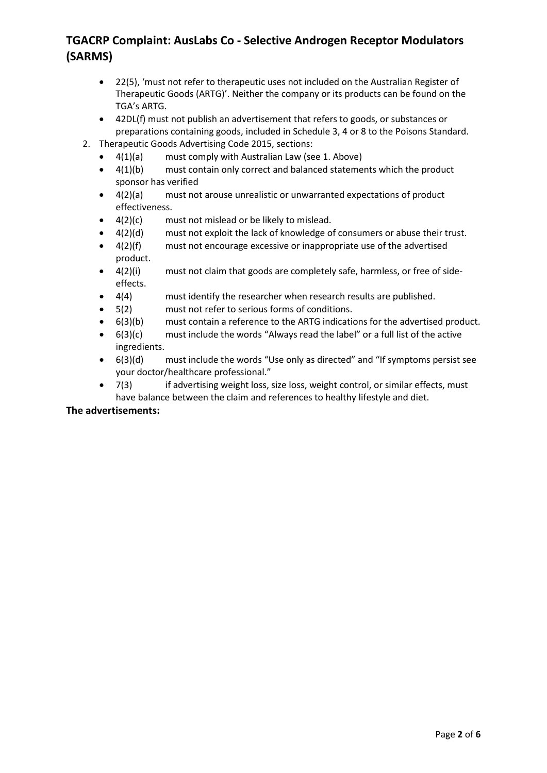- 22(5), 'must not refer to therapeutic uses not included on the Australian Register of Therapeutic Goods (ARTG)'. Neither the company or its products can be found on the TGA's ARTG.
- 42DL(f) must not publish an advertisement that refers to goods, or substances or preparations containing goods, included in Schedule 3, 4 or 8 to the Poisons Standard.
- 2. Therapeutic Goods Advertising Code 2015, sections:
	- $4(1)(a)$  must comply with Australian Law (see 1. Above)
	- 4(1)(b) must contain only correct and balanced statements which the product sponsor has verified
	- 4(2)(a) must not arouse unrealistic or unwarranted expectations of product effectiveness.
	- $4(2)(c)$  must not mislead or be likely to mislead.
	- 4(2)(d) must not exploit the lack of knowledge of consumers or abuse their trust.
	- 4(2)(f) must not encourage excessive or inappropriate use of the advertised product.
	- 4(2)(i) must not claim that goods are completely safe, harmless, or free of sideeffects.
	- 4(4) must identify the researcher when research results are published.
	- 5(2) must not refer to serious forms of conditions.
	- $6(3)(b)$  must contain a reference to the ARTG indications for the advertised product.
	- $6(3)(c)$  must include the words "Always read the label" or a full list of the active ingredients.
	- 6(3)(d) must include the words "Use only as directed" and "If symptoms persist see your doctor/healthcare professional."
	- 7(3) if advertising weight loss, size loss, weight control, or similar effects, must have balance between the claim and references to healthy lifestyle and diet.

#### **The advertisements:**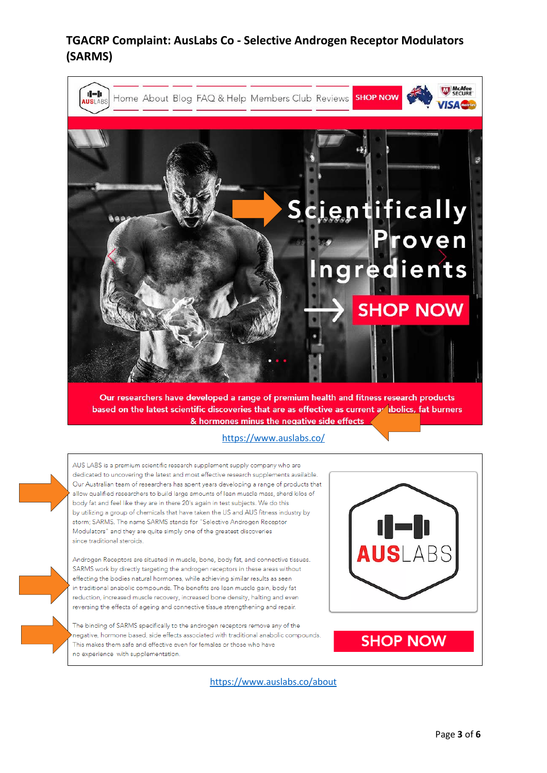

Our researchers have developed a range of premium health and fitness research products based on the latest scientific discoveries that are as effective as current a loolics, fat burners & hormones minus the negative side effects

<https://www.auslabs.co/>

AUS LABS is a premium scientific research supplement supply company who are dedicated to uncovering the latest and most effective research supplements available. Our Australian team of researchers has spent years developing a range of products that allow qualified researchers to build large amounts of lean muscle mass, sherd kilos of body fat and feel like they are in there 20's again in test subjects. We do this by utilizing a group of chemicals that have taken the US and AUS fitness industry by storm; SARMS. The name SARMS stands for "Selective Androgen Receptor Modulators" and they are quite simply one of the greatest discoveries since traditional steroids. ABS Androgen Receptors are situated in muscle, bone, body fat, and connective tissues. SARMS work by directly targeting the androgen receptors in these areas without effecting the bodies natural hormones, while achieving similar results as seen in traditional anabolic compounds. The benefits are lean muscle gain, body fat reduction, increased muscle recovery, increased bone density, halting and even reversing the effects of ageing and connective tissue strengthening and repair. The binding of SARMS specifically to the androgen receptors remove any of the negative, hormone based, side effects associated with traditional anabolic compounds. **SHOP NOW** This makes them safe and effective even for females or those who have no experience with supplementation

<https://www.auslabs.co/about>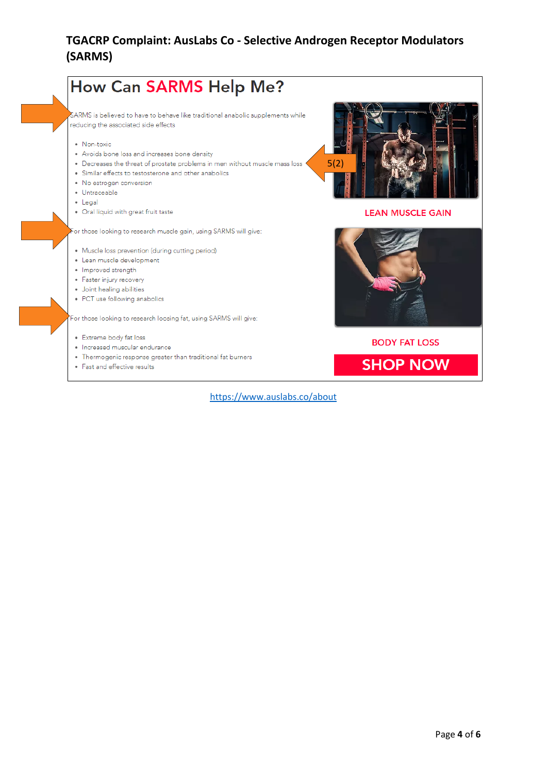

<https://www.auslabs.co/about>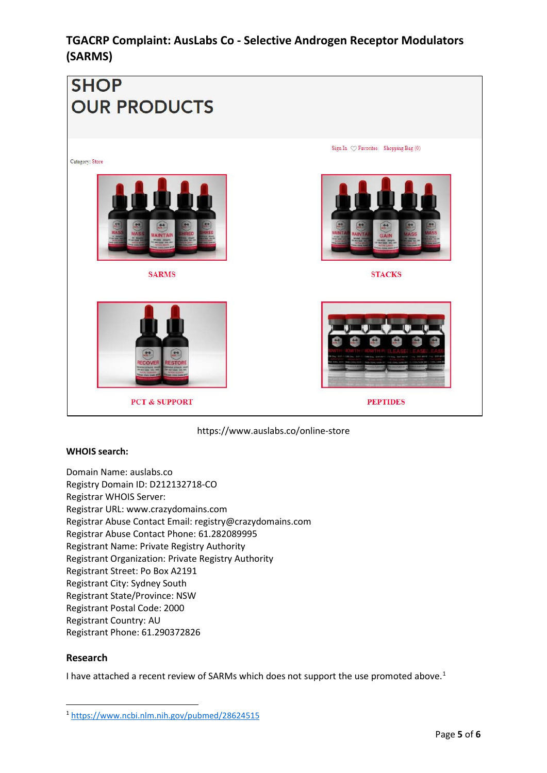

https://www.auslabs.co/online-store

### **WHOIS search:**

Domain Name: auslabs.co Registry Domain ID: D212132718-CO Registrar WHOIS Server: Registrar URL: www.crazydomains.com Registrar Abuse Contact Email: registry@crazydomains.com Registrar Abuse Contact Phone: 61.282089995 Registrant Name: Private Registry Authority Registrant Organization: Private Registry Authority Registrant Street: Po Box A2191 Registrant City: Sydney South Registrant State/Province: NSW Registrant Postal Code: 2000 Registrant Country: AU Registrant Phone: 61.290372826

### **Research**

I have attached a recent review of SARMs which does not support the use promoted above.<sup>[1](#page-4-0)</sup>

<span id="page-4-0"></span> <sup>1</sup> <https://www.ncbi.nlm.nih.gov/pubmed/28624515>